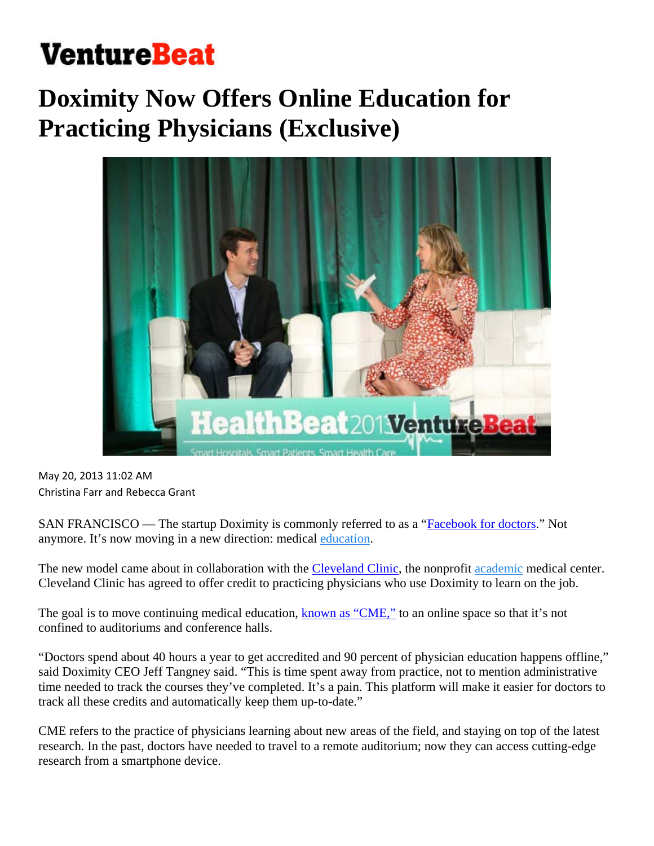## **VentureBeat**

## **Doximity Now Offers Online Education for Practicing Physicians (Exclusive)**



May 20, 2013 11:02 AM Christina Farr and Rebecca Grant

SAN FRANCISCO — The startup Doximity is commonly referred to as a "Facebook for doctors." Not anymore. It's now moving in a new direction: medical education.

The new model came about in collaboration with the Cleveland Clinic, the nonprofit academic medical center. Cleveland Clinic has agreed to offer credit to practicing physicians who use Doximity to learn on the job.

The goal is to move continuing medical education, known as "CME," to an online space so that it's not confined to auditoriums and conference halls.

"Doctors spend about 40 hours a year to get accredited and 90 percent of physician education happens offline," said Doximity CEO Jeff Tangney said. "This is time spent away from practice, not to mention administrative time needed to track the courses they've completed. It's a pain. This platform will make it easier for doctors to track all these credits and automatically keep them up-to-date."

CME refers to the practice of physicians learning about new areas of the field, and staying on top of the latest research. In the past, doctors have needed to travel to a remote auditorium; now they can access cutting-edge research from a smartphone device.